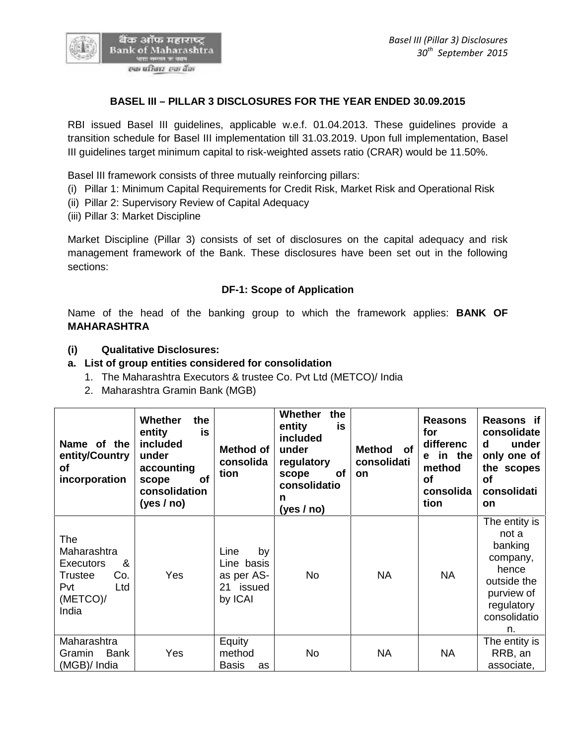

# **BASEL III – PILLAR 3 DISCLOSURES FOR THE YEAR ENDED 30.09.2015**

RBI issued Basel III guidelines, applicable w.e.f. 01.04.2013. These guidelines provide a transition schedule for Basel III implementation till 31.03.2019. Upon full implementation, Basel III guidelines target minimum capital to risk-weighted assets ratio (CRAR) would be 11.50%.

Basel III framework consists of three mutually reinforcing pillars:

- (i) Pillar 1: Minimum Capital Requirements for Credit Risk, Market Risk and Operational Risk
- (ii) Pillar 2: Supervisory Review of Capital Adequacy
- (iii) Pillar 3: Market Discipline

Market Discipline (Pillar 3) consists of set of disclosures on the capital adequacy and risk management framework of the Bank. These disclosures have been set out in the following sections:

#### **DF-1: Scope of Application**

Name of the head of the banking group to which the framework applies: **BANK OF MAHARASHTRA**

#### **(i) Qualitative Disclosures:**

#### **a. List of group entities considered for consolidation**

- 1. The Maharashtra Executors & trustee Co. Pvt Ltd (METCO)/ India
- 2. Maharashtra Gramin Bank (MGB)

| Name of the<br>entity/Country<br>of<br>incorporation                                      | Whether<br>the<br>is<br>entity<br>included<br>under<br>accounting<br>of<br>scope<br>consolidation<br>(yes / no) | Method of<br>consolida<br>tion                                 | Whether<br>the<br>entity<br>is<br>included<br>under<br>regulatory<br>of<br>scope<br>consolidatio<br>n<br>(yes $/$ no) | <b>Method</b><br>of<br>consolidati<br><b>on</b> | <b>Reasons</b><br>for<br>differenc<br>e in the<br>method<br><b>of</b><br>consolida<br>tion | Reasons if<br>consolidate<br>under<br>d<br>only one of<br>the scopes<br><b>of</b><br>consolidati<br><b>on</b>           |
|-------------------------------------------------------------------------------------------|-----------------------------------------------------------------------------------------------------------------|----------------------------------------------------------------|-----------------------------------------------------------------------------------------------------------------------|-------------------------------------------------|--------------------------------------------------------------------------------------------|-------------------------------------------------------------------------------------------------------------------------|
| The<br>Maharashtra<br>&<br>Executors<br>Co.<br>Trustee<br>Pvt<br>Ltd<br>(METCO)/<br>India | Yes                                                                                                             | Line<br>by<br>Line basis<br>as per AS-<br>21 issued<br>by ICAI | <b>No</b>                                                                                                             | <b>NA</b>                                       | <b>NA</b>                                                                                  | The entity is<br>not a<br>banking<br>company,<br>hence<br>outside the<br>purview of<br>regulatory<br>consolidatio<br>n. |
| Maharashtra<br><b>Bank</b><br>Gramin<br>(MGB)/ India                                      | Yes                                                                                                             | Equity<br>method<br><b>Basis</b><br>as                         | No                                                                                                                    | <b>NA</b>                                       | <b>NA</b>                                                                                  | The entity is<br>RRB, an<br>associate,                                                                                  |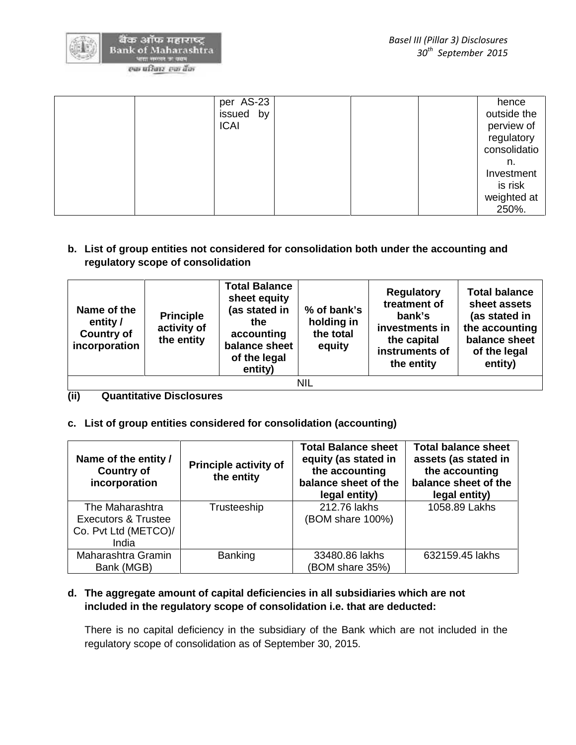

| per AS-23   | hence        |
|-------------|--------------|
| issued by   | outside the  |
| <b>ICAI</b> | perview of   |
|             | regulatory   |
|             | consolidatio |
|             | n.           |
|             | Investment   |
|             | is risk      |
|             | weighted at  |
|             | 250%.        |

**b. List of group entities not considered for consolidation both under the accounting and regulatory scope of consolidation**

| Name of the<br>entity /<br><b>Country of</b><br>incorporation | <b>Principle</b><br>activity of<br>the entity | <b>Total Balance</b><br>sheet equity<br>(as stated in<br>the<br>accounting<br>balance sheet<br>of the legal<br>entity) | % of bank's<br>holding in<br>the total<br>equity | <b>Regulatory</b><br>treatment of<br>bank's<br>investments in<br>the capital<br>instruments of<br>the entity | <b>Total balance</b><br>sheet assets<br>(as stated in<br>the accounting<br>balance sheet<br>of the legal<br>entity) |
|---------------------------------------------------------------|-----------------------------------------------|------------------------------------------------------------------------------------------------------------------------|--------------------------------------------------|--------------------------------------------------------------------------------------------------------------|---------------------------------------------------------------------------------------------------------------------|
|                                                               |                                               |                                                                                                                        | <b>NIL</b>                                       |                                                                                                              |                                                                                                                     |

**(ii) Quantitative Disclosures**

# **c. List of group entities considered for consolidation (accounting)**

| Name of the entity /<br><b>Country of</b><br>incorporation                         | <b>Principle activity of</b><br>the entity | <b>Total Balance sheet</b><br>equity (as stated in<br>the accounting<br>balance sheet of the<br>legal entity) | <b>Total balance sheet</b><br>assets (as stated in<br>the accounting<br>balance sheet of the<br>legal entity) |
|------------------------------------------------------------------------------------|--------------------------------------------|---------------------------------------------------------------------------------------------------------------|---------------------------------------------------------------------------------------------------------------|
| The Maharashtra<br><b>Executors &amp; Trustee</b><br>Co. Pvt Ltd (METCO)/<br>India | Trusteeship                                | 212.76 lakhs<br>(BOM share 100%)                                                                              | 1058.89 Lakhs                                                                                                 |
| Maharashtra Gramin<br>Bank (MGB)                                                   | <b>Banking</b>                             | 33480.86 lakhs<br>(BOM share 35%)                                                                             | 632159.45 lakhs                                                                                               |

# **d. The aggregate amount of capital deficiencies in all subsidiaries which are not included in the regulatory scope of consolidation i.e. that are deducted:**

There is no capital deficiency in the subsidiary of the Bank which are not included in the regulatory scope of consolidation as of September 30, 2015.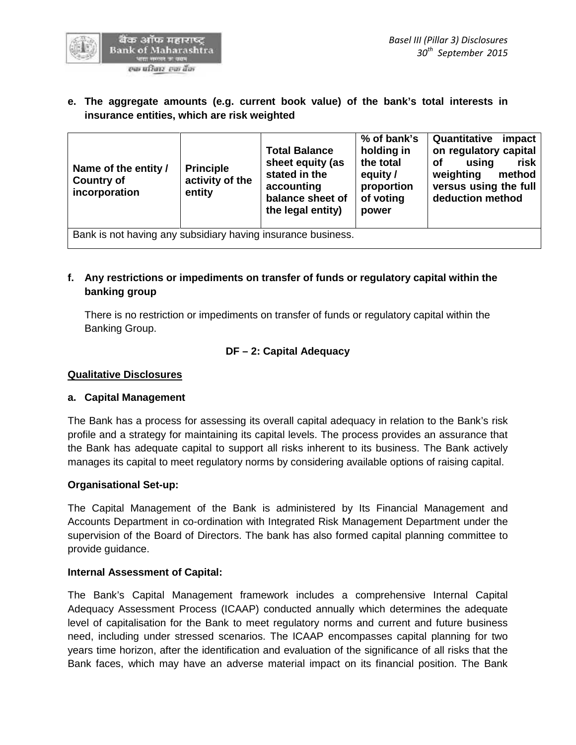

**e. The aggregate amounts (e.g. current book value) of the bank's total interests in insurance entities, which are risk weighted**

| Name of the entity /<br><b>Country of</b><br>incorporation   | <b>Principle</b><br>activity of the<br>entity | <b>Total Balance</b><br>sheet equity (as<br>stated in the<br>accounting<br>balance sheet of<br>the legal entity) | % of bank's<br>holding in<br>the total<br>equity /<br>proportion<br>of voting<br>power | Quantitative<br>impact<br>on regulatory capital<br>risk<br><b>of</b><br>using<br>weighting<br>method<br>versus using the full<br>deduction method |
|--------------------------------------------------------------|-----------------------------------------------|------------------------------------------------------------------------------------------------------------------|----------------------------------------------------------------------------------------|---------------------------------------------------------------------------------------------------------------------------------------------------|
| Bank is not having any subsidiary having insurance business. |                                               |                                                                                                                  |                                                                                        |                                                                                                                                                   |

**f. Any restrictions or impediments on transfer of funds or regulatory capital within the banking group**

There is no restriction or impediments on transfer of funds or regulatory capital within the Banking Group.

# **DF – 2: Capital Adequacy**

# **Qualitative Disclosures**

# **a. Capital Management**

The Bank has a process for assessing its overall capital adequacy in relation to the Bank's risk profile and a strategy for maintaining its capital levels. The process provides an assurance that the Bank has adequate capital to support all risks inherent to its business. The Bank actively manages its capital to meet regulatory norms by considering available options of raising capital.

# **Organisational Set-up:**

The Capital Management of the Bank is administered by Its Financial Management and Accounts Department in co-ordination with Integrated Risk Management Department under the supervision of the Board of Directors. The bank has also formed capital planning committee to provide guidance.

# **Internal Assessment of Capital:**

The Bank's Capital Management framework includes a comprehensive Internal Capital Adequacy Assessment Process (ICAAP) conducted annually which determines the adequate level of capitalisation for the Bank to meet regulatory norms and current and future business need, including under stressed scenarios. The ICAAP encompasses capital planning for two years time horizon, after the identification and evaluation of the significance of all risks that the Bank faces, which may have an adverse material impact on its financial position. The Bank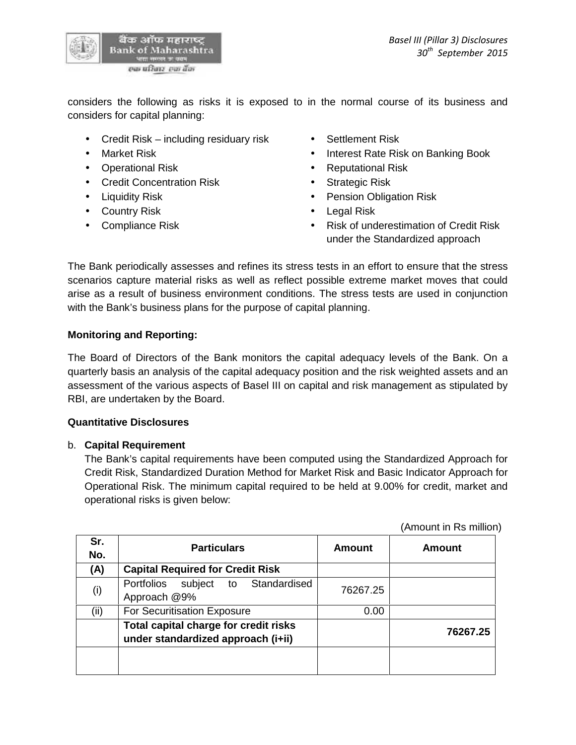

considers the following as risks it is exposed to in the normal course of its business and considers for capital planning:

- Credit Risk including residuary risk Settlement Risk
- 
- 
- Credit Concentration Risk **•** Strategic Risk
- 
- Country Risk **Country Risk Country Risk Country Risk Country Risk Country Risk**
- 
- 
- Market Risk **Interest Rate Risk on Banking Book**
- Operational Risk **Constanting Constanting Constanting Constanting Constanting Constanting Constanting Constanting Constanting Constanting Constanting Constanting Constanting Constanting Constanting Constanting Constantin** 
	-
- Liquidity Risk  **Pension Obligation Risk** 
	-
- Compliance Risk **Compliance Risk Compliance Risk Compliance** Risk of underestimation of Credit Risk under the Standardized approach

The Bank periodically assesses and refines its stress tests in an effort to ensure that the stress scenarios capture material risks as well as reflect possible extreme market moves that could arise as a result of business environment conditions. The stress tests are used in conjunction with the Bank's business plans for the purpose of capital planning.

# **Monitoring and Reporting:**

The Board of Directors of the Bank monitors the capital adequacy levels of the Bank. On a quarterly basis an analysis of the capital adequacy position and the risk weighted assets and an assessment of the various aspects of Basel III on capital and risk management as stipulated by RBI, are undertaken by the Board.

# **Quantitative Disclosures**

# b. **Capital Requirement**

The Bank's capital requirements have been computed using the Standardized Approach for Credit Risk, Standardized Duration Method for Market Risk and Basic Indicator Approach for Operational Risk. The minimum capital required to be held at 9.00% for credit, market and operational risks is given below:

(Amount in Rs million)

| Sr.<br>No. | <b>Particulars</b>                                                          | <b>Amount</b> | Amount   |
|------------|-----------------------------------------------------------------------------|---------------|----------|
| (A)        | <b>Capital Required for Credit Risk</b>                                     |               |          |
| (i)        | subject to Standardised<br>Portfolios<br>Approach @9%                       | 76267.25      |          |
| (ii)       | For Securitisation Exposure                                                 | 0.00          |          |
|            | Total capital charge for credit risks<br>under standardized approach (i+ii) |               | 76267.25 |
|            |                                                                             |               |          |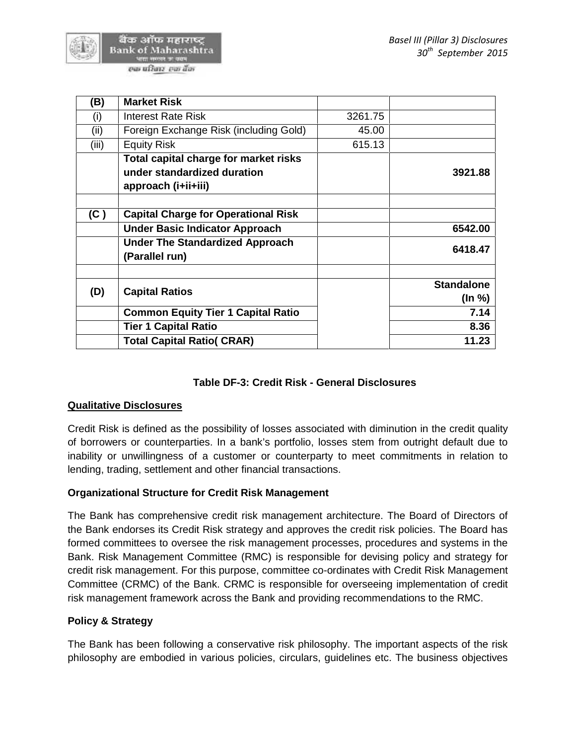

| (B)   | <b>Market Risk</b>                         |         |                   |
|-------|--------------------------------------------|---------|-------------------|
| (i)   | Interest Rate Risk                         | 3261.75 |                   |
| (ii)  | Foreign Exchange Risk (including Gold)     | 45.00   |                   |
| (iii) | <b>Equity Risk</b>                         | 615.13  |                   |
|       | Total capital charge for market risks      |         |                   |
|       | under standardized duration                |         | 3921.88           |
|       | approach (i+ii+iii)                        |         |                   |
|       |                                            |         |                   |
| (C)   | <b>Capital Charge for Operational Risk</b> |         |                   |
|       | <b>Under Basic Indicator Approach</b>      |         | 6542.00           |
|       | <b>Under The Standardized Approach</b>     |         | 6418.47           |
|       | (Parallel run)                             |         |                   |
|       |                                            |         |                   |
| (D)   | <b>Capital Ratios</b>                      |         | <b>Standalone</b> |
|       |                                            |         | (ln %)            |
|       | <b>Common Equity Tier 1 Capital Ratio</b>  |         | 7.14              |
|       | <b>Tier 1 Capital Ratio</b>                |         | 8.36              |
|       | <b>Total Capital Ratio( CRAR)</b>          |         | 11.23             |

# **Table DF-3: Credit Risk - General Disclosures**

#### **Qualitative Disclosures**

Credit Risk is defined as the possibility of losses associated with diminution in the credit quality of borrowers or counterparties. In a bank's portfolio, losses stem from outright default due to inability or unwillingness of a customer or counterparty to meet commitments in relation to lending, trading, settlement and other financial transactions.

#### **Organizational Structure for Credit Risk Management**

The Bank has comprehensive credit risk management architecture. The Board of Directors of the Bank endorses its Credit Risk strategy and approves the credit risk policies. The Board has formed committees to oversee the risk management processes, procedures and systems in the Bank. Risk Management Committee (RMC) is responsible for devising policy and strategy for credit risk management. For this purpose, committee co-ordinates with Credit Risk Management Committee (CRMC) of the Bank. CRMC is responsible for overseeing implementation of credit risk management framework across the Bank and providing recommendations to the RMC.

# **Policy & Strategy**

The Bank has been following a conservative risk philosophy. The important aspects of the risk philosophy are embodied in various policies, circulars, guidelines etc. The business objectives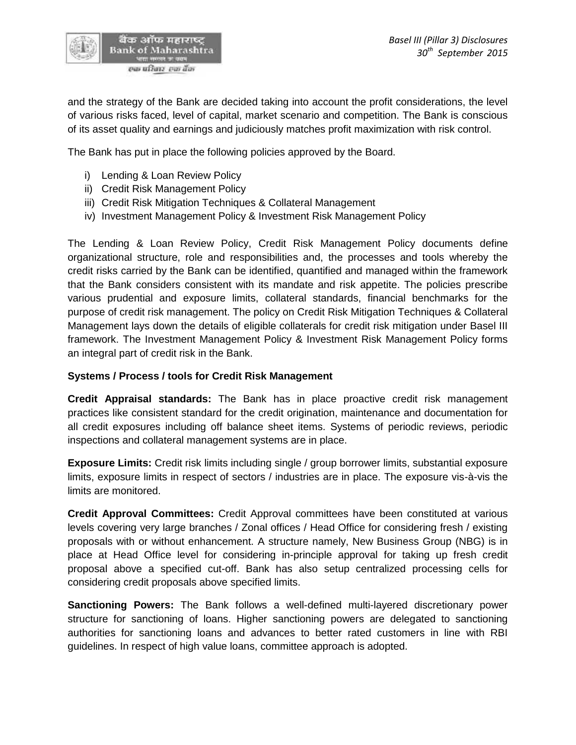

and the strategy of the Bank are decided taking into account the profit considerations, the level of various risks faced, level of capital, market scenario and competition. The Bank is conscious of its asset quality and earnings and judiciously matches profit maximization with risk control.

The Bank has put in place the following policies approved by the Board.

- i) Lending & Loan Review Policy
- ii) Credit Risk Management Policy
- iii) Credit Risk Mitigation Techniques & Collateral Management
- iv) Investment Management Policy & Investment Risk Management Policy

The Lending & Loan Review Policy, Credit Risk Management Policy documents define organizational structure, role and responsibilities and, the processes and tools whereby the credit risks carried by the Bank can be identified, quantified and managed within the framework that the Bank considers consistent with its mandate and risk appetite. The policies prescribe various prudential and exposure limits, collateral standards, financial benchmarks for the purpose of credit risk management. The policy on Credit Risk Mitigation Techniques & Collateral Management lays down the details of eligible collaterals for credit risk mitigation under Basel III framework. The Investment Management Policy & Investment Risk Management Policy forms an integral part of credit risk in the Bank.

#### **Systems / Process / tools for Credit Risk Management**

**Credit Appraisal standards:** The Bank has in place proactive credit risk management practices like consistent standard for the credit origination, maintenance and documentation for all credit exposures including off balance sheet items. Systems of periodic reviews, periodic inspections and collateral management systems are in place.

**Exposure Limits:** Credit risk limits including single / group borrower limits, substantial exposure limits, exposure limits in respect of sectors / industries are in place. The exposure vis-à-vis the limits are monitored.

**Credit Approval Committees:** Credit Approval committees have been constituted at various levels covering very large branches / Zonal offices / Head Office for considering fresh / existing proposals with or without enhancement. A structure namely, New Business Group (NBG) is in place at Head Office level for considering in-principle approval for taking up fresh credit proposal above a specified cut-off. Bank has also setup centralized processing cells for considering credit proposals above specified limits.

**Sanctioning Powers:** The Bank follows a well-defined multi-layered discretionary power structure for sanctioning of loans. Higher sanctioning powers are delegated to sanctioning authorities for sanctioning loans and advances to better rated customers in line with RBI guidelines. In respect of high value loans, committee approach is adopted.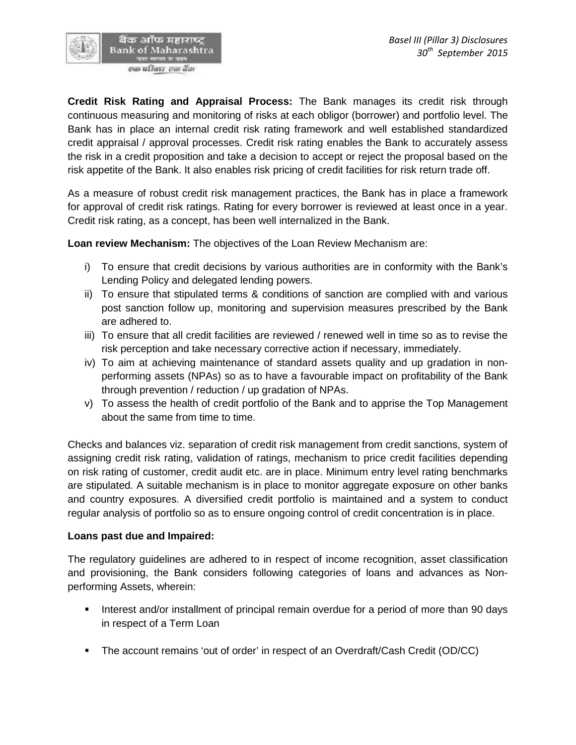

**Credit Risk Rating and Appraisal Process:** The Bank manages its credit risk through continuous measuring and monitoring of risks at each obligor (borrower) and portfolio level. The Bank has in place an internal credit risk rating framework and well established standardized credit appraisal / approval processes. Credit risk rating enables the Bank to accurately assess the risk in a credit proposition and take a decision to accept or reject the proposal based on the risk appetite of the Bank. It also enables risk pricing of credit facilities for risk return trade off.

As a measure of robust credit risk management practices, the Bank has in place a framework for approval of credit risk ratings. Rating for every borrower is reviewed at least once in a year. Credit risk rating, as a concept, has been well internalized in the Bank.

**Loan review Mechanism:** The objectives of the Loan Review Mechanism are:

- i) To ensure that credit decisions by various authorities are in conformity with the Bank's Lending Policy and delegated lending powers.
- ii) To ensure that stipulated terms & conditions of sanction are complied with and various post sanction follow up, monitoring and supervision measures prescribed by the Bank are adhered to.
- iii) To ensure that all credit facilities are reviewed / renewed well in time so as to revise the risk perception and take necessary corrective action if necessary, immediately.
- iv) To aim at achieving maintenance of standard assets quality and up gradation in non performing assets (NPAs) so as to have a favourable impact on profitability of the Bank through prevention / reduction / up gradation of NPAs.
- v) To assess the health of credit portfolio of the Bank and to apprise the Top Management about the same from time to time.

Checks and balances viz. separation of credit risk management from credit sanctions, system of assigning credit risk rating, validation of ratings, mechanism to price credit facilities depending on risk rating of customer, credit audit etc. are in place. Minimum entry level rating benchmarks are stipulated. A suitable mechanism is in place to monitor aggregate exposure on other banks and country exposures. A diversified credit portfolio is maintained and a system to conduct regular analysis of portfolio so as to ensure ongoing control of credit concentration is in place.

# **Loans past due and Impaired:**

The regulatory guidelines are adhered to in respect of income recognition, asset classification and provisioning, the Bank considers following categories of loans and advances as Non performing Assets, wherein:

- Interest and/or installment of principal remain overdue for a period of more than 90 days in respect of a Term Loan
- The account remains 'out of order' in respect of an Overdraft/Cash Credit (OD/CC)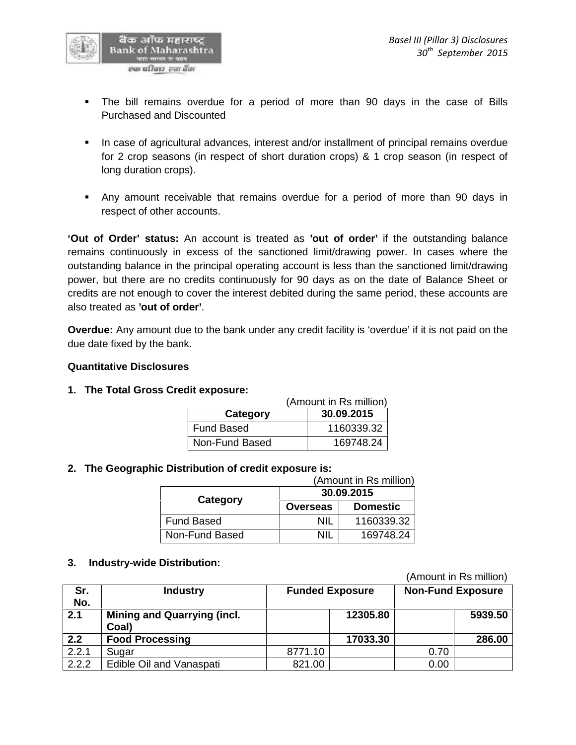

- The bill remains overdue for a period of more than 90 days in the case of Bills Purchased and Discounted
- In case of agricultural advances, interest and/or installment of principal remains overdue for 2 crop seasons (in respect of short duration crops) & 1 crop season (in respect of long duration crops).
- Any amount receivable that remains overdue for a period of more than 90 days in respect of other accounts.

**'Out of Order' status:** An account is treated as **'out of order'** if the outstanding balance remains continuously in excess of the sanctioned limit/drawing power. In cases where the outstanding balance in the principal operating account is less than the sanctioned limit/drawing power, but there are no credits continuously for 90 days as on the date of Balance Sheet or credits are not enough to cover the interest debited during the same period, these accounts are also treated as **'out of order'**.

**Overdue:** Any amount due to the bank under any credit facility is 'overdue' if it is not paid on the due date fixed by the bank.

# **Quantitative Disclosures**

**1. The Total Gross Credit exposure:**

|                        | (Amount in Rs million) |  |  |
|------------------------|------------------------|--|--|
| 30.09.2015<br>Category |                        |  |  |
| Fund Based             | 1160339.32             |  |  |
| Non-Fund Based         | 169748.24              |  |  |

# **2. The Geographic Distribution of credit exposure is:**

|                   | (Amount in Rs million) |                 |  |  |
|-------------------|------------------------|-----------------|--|--|
|                   | 30.09.2015             |                 |  |  |
| Category          | <b>Overseas</b>        | <b>Domestic</b> |  |  |
| <b>Fund Based</b> | ΝIΙ                    | 1160339.32      |  |  |
| Non-Fund Based    | NII                    | 169748.24       |  |  |

#### **3. Industry-wide Distribution:**

(Amount in Rs million)

| Sr.<br>No. | <b>Industry</b>                             |         | <b>Funded Exposure</b> | <b>Non-Fund Exposure</b> |         |
|------------|---------------------------------------------|---------|------------------------|--------------------------|---------|
| 2.1        | <b>Mining and Quarrying (incl.</b><br>Coal) |         | 12305.80               |                          | 5939.50 |
| 2.2        | <b>Food Processing</b>                      |         | 17033.30               |                          | 286.00  |
| 2.2.1      | Sugar                                       | 8771.10 |                        | 0.70                     |         |
| 2.2.2      | Edible Oil and Vanaspati                    | 821.00  |                        | 0.00                     |         |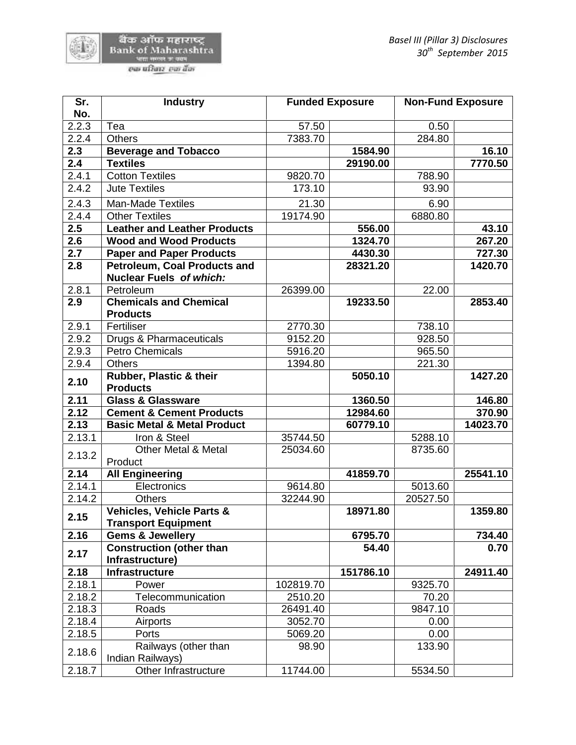

| Sr.    | <b>Industry</b>                                             | <b>Funded Exposure</b> |           | <b>Non-Fund Exposure</b> |          |
|--------|-------------------------------------------------------------|------------------------|-----------|--------------------------|----------|
| No.    |                                                             |                        |           |                          |          |
| 2.2.3  | Tea                                                         | 57.50                  |           | 0.50                     |          |
| 2.2.4  | <b>Others</b>                                               | 7383.70                |           | 284.80                   |          |
| 2.3    | <b>Beverage and Tobacco</b>                                 |                        | 1584.90   |                          | 16.10    |
| 2.4    | <b>Textiles</b>                                             |                        | 29190.00  |                          | 7770.50  |
| 2.4.1  | <b>Cotton Textiles</b>                                      | 9820.70                |           | 788.90                   |          |
| 2.4.2  | <b>Jute Textiles</b>                                        | 173.10                 |           | 93.90                    |          |
| 2.4.3  | <b>Man-Made Textiles</b>                                    | 21.30                  |           | 6.90                     |          |
| 2.4.4  | <b>Other Textiles</b>                                       | 19174.90               |           | 6880.80                  |          |
| 2.5    | <b>Leather and Leather Products</b>                         |                        | 556.00    |                          | 43.10    |
| 2.6    | <b>Wood and Wood Products</b>                               |                        | 1324.70   |                          | 267.20   |
| 2.7    | <b>Paper and Paper Products</b>                             |                        | 4430.30   |                          | 727.30   |
| 2.8    | <b>Petroleum, Coal Products and</b>                         |                        | 28321.20  |                          | 1420.70  |
|        | <b>Nuclear Fuels of which:</b>                              |                        |           |                          |          |
| 2.8.1  | Petroleum                                                   | 26399.00               |           | 22.00                    |          |
| 2.9    | <b>Chemicals and Chemical</b>                               |                        | 19233.50  |                          | 2853.40  |
|        | <b>Products</b>                                             |                        |           |                          |          |
| 2.9.1  | Fertiliser                                                  | 2770.30                |           | 738.10                   |          |
| 2.9.2  | Drugs & Pharmaceuticals                                     | 9152.20                |           | 928.50                   |          |
| 2.9.3  | <b>Petro Chemicals</b>                                      | 5916.20                |           | 965.50                   |          |
| 2.9.4  | <b>Others</b>                                               | 1394.80                |           | 221.30                   |          |
| 2.10   | Rubber, Plastic & their<br><b>Products</b>                  |                        | 5050.10   |                          | 1427.20  |
| 2.11   | <b>Glass &amp; Glassware</b>                                |                        | 1360.50   |                          | 146.80   |
| 2.12   | <b>Cement &amp; Cement Products</b>                         |                        | 12984.60  |                          | 370.90   |
| 2.13   | <b>Basic Metal &amp; Metal Product</b>                      |                        | 60779.10  |                          | 14023.70 |
| 2.13.1 | Iron & Steel                                                | 35744.50               |           | 5288.10                  |          |
| 2.13.2 | <b>Other Metal &amp; Metal</b>                              | 25034.60               |           | 8735.60                  |          |
|        | Product                                                     |                        |           |                          |          |
| 2.14   | <b>All Engineering</b>                                      |                        | 41859.70  |                          | 25541.10 |
| 2.14.1 | Electronics                                                 | 9614.80                |           | 5013.60                  |          |
| 2.14.2 | <b>Others</b>                                               | 32244.90               |           | 20527.50                 |          |
| 2.15   | <b>Vehicles, Vehicle Parts &amp;</b><br>Transport Equipment |                        | 18971.80  |                          | 1359.80  |
| 2.16   | <b>Gems &amp; Jewellery</b>                                 |                        | 6795.70   |                          | 734.40   |
| 2.17   | <b>Construction (other than</b><br>Infrastructure)          |                        | 54.40     |                          | 0.70     |
| 2.18   | Infrastructure                                              |                        | 151786.10 |                          | 24911.40 |
| 2.18.1 | Power                                                       | 102819.70              |           | 9325.70                  |          |
| 2.18.2 | Telecommunication                                           | 2510.20                |           | 70.20                    |          |
| 2.18.3 | Roads                                                       | 26491.40               |           | 9847.10                  |          |
| 2.18.4 | Airports                                                    | 3052.70                |           | 0.00                     |          |
| 2.18.5 | Ports                                                       | 5069.20                |           | 0.00                     |          |
| 2.18.6 | Railways (other than<br>Indian Railways)                    | 98.90                  |           | 133.90                   |          |
| 2.18.7 | Other Infrastructure                                        | 11744.00               |           | 5534.50                  |          |
|        |                                                             |                        |           |                          |          |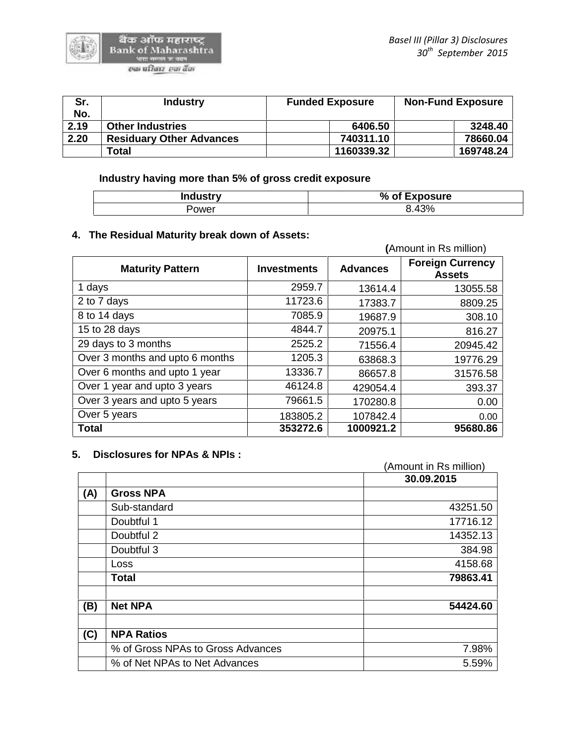| Sr.  | <b>Industry</b>                 | <b>Funded Exposure</b> | <b>Non-Fund Exposure</b> |
|------|---------------------------------|------------------------|--------------------------|
| No.  |                                 |                        |                          |
| 2.19 | <b>Other Industries</b>         | 6406.50                | 3248.40                  |
| 2.20 | <b>Residuary Other Advances</b> | 740311.10              | 78660.04                 |
|      | Total                           | 1160339.32             | 169748.24                |

**Industry having more than 5% of gross credit exposure**

| <b>Industry</b> | % of Exposure |
|-----------------|---------------|
| 'ower           | 120I          |

# **4. The Residual Maturity break down of Assets:**

|                                 |                    |                 | (Amount in Rs million)                   |
|---------------------------------|--------------------|-----------------|------------------------------------------|
| <b>Maturity Pattern</b>         | <b>Investments</b> | <b>Advances</b> | <b>Foreign Currency</b><br><b>Assets</b> |
| 1 days                          | 2959.7             | 13614.4         | 13055.58                                 |
| 2 to 7 days                     | 11723.6            | 17383.7         | 8809.25                                  |
| 8 to 14 days                    | 7085.9             | 19687.9         | 308.10                                   |
| 15 to 28 days                   | 4844.7             | 20975.1         | 816.27                                   |
| 29 days to 3 months             | 2525.2             | 71556.4         | 20945.42                                 |
| Over 3 months and upto 6 months | 1205.3             | 63868.3         | 19776.29                                 |
| Over 6 months and upto 1 year   | 13336.7            | 86657.8         | 31576.58                                 |
| Over 1 year and upto 3 years    | 46124.8            | 429054.4        | 393.37                                   |
| Over 3 years and upto 5 years   | 79661.5            | 170280.8        | 0.00                                     |
| Over 5 years                    | 183805.2           | 107842.4        | 0.00                                     |
| <b>Total</b>                    | 353272.6           | 1000921.2       | 95680.86                                 |

#### **5. Disclosures for NPAs & NPIs :**

|                                   | (Amount in Rs million) |
|-----------------------------------|------------------------|
|                                   | 30.09.2015             |
| <b>Gross NPA</b><br>(A)           |                        |
| Sub-standard                      | 43251.50               |
| Doubtful 1                        | 17716.12               |
| Doubtful 2                        | 14352.13               |
| Doubtful 3                        | 384.98                 |
| <b>Loss</b>                       | 4158.68                |
| <b>Total</b>                      | 79863.41               |
| <b>Net NPA</b><br>(B)             | 54424.60               |
| <b>NPA Ratios</b><br>(C)          |                        |
| % of Gross NPAs to Gross Advances | 7.98%                  |
| % of Net NPAs to Net Advances     | 5.59%                  |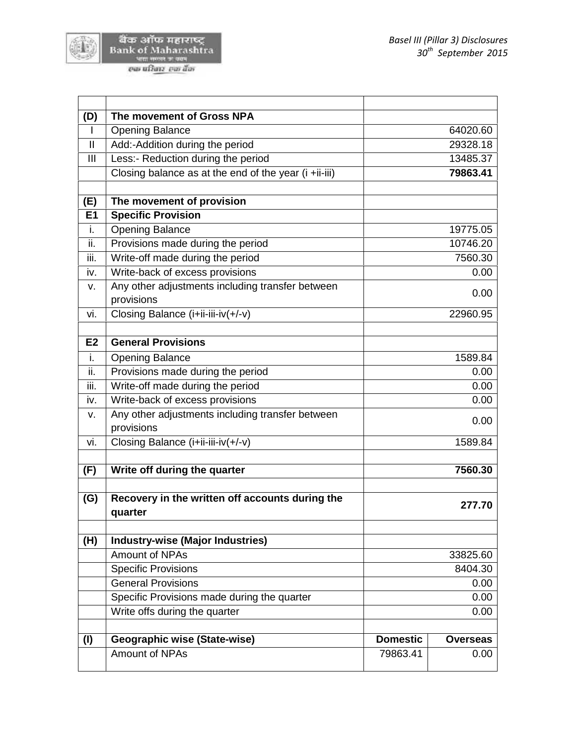

4

| (D)            | The movement of Gross NPA                                      |                 |                 |
|----------------|----------------------------------------------------------------|-----------------|-----------------|
| $\mathbf{I}$   | <b>Opening Balance</b>                                         |                 | 64020.60        |
| $\mathbf{I}$   | Add:-Addition during the period                                |                 | 29328.18        |
| III            | Less:- Reduction during the period                             |                 | 13485.37        |
|                | Closing balance as at the end of the year (i +ii-iii)          |                 | 79863.41        |
| (E)            | The movement of provision                                      |                 |                 |
| <b>E1</b>      | <b>Specific Provision</b>                                      |                 |                 |
| i.             | <b>Opening Balance</b>                                         |                 | 19775.05        |
| ii.            | Provisions made during the period                              |                 | 10746.20        |
| iii.           | Write-off made during the period                               |                 | 7560.30         |
| iv.            | Write-back of excess provisions                                |                 | 0.00            |
| v.             | Any other adjustments including transfer between<br>provisions |                 | 0.00            |
| vi.            | Closing Balance (i+ii-iii-iv(+/-v)                             |                 | 22960.95        |
|                | <b>General Provisions</b>                                      |                 |                 |
| E <sub>2</sub> |                                                                |                 |                 |
| i.             | <b>Opening Balance</b>                                         |                 | 1589.84         |
| ii.            | Provisions made during the period                              |                 | 0.00            |
| iii.           | Write-off made during the period                               |                 | 0.00            |
| iv.            | Write-back of excess provisions                                | 0.00            |                 |
| v.             | Any other adjustments including transfer between<br>provisions |                 | 0.00            |
| vi.            | Closing Balance (i+ii-iii-iv(+/-v)                             |                 | 1589.84         |
| (F)            | Write off during the quarter                                   |                 | 7560.30         |
|                |                                                                |                 |                 |
| (G)            | Recovery in the written off accounts during the<br>quarter     |                 | 277.70          |
| (H)            | <b>Industry-wise (Major Industries)</b>                        |                 |                 |
|                | Amount of NPAs                                                 |                 | 33825.60        |
|                | <b>Specific Provisions</b>                                     |                 | 8404.30         |
|                | <b>General Provisions</b>                                      |                 | 0.00            |
|                | Specific Provisions made during the quarter                    |                 | 0.00            |
|                | Write offs during the quarter                                  |                 | 0.00            |
| (1)            | Geographic wise (State-wise)                                   | <b>Domestic</b> | <b>Overseas</b> |
|                |                                                                |                 |                 |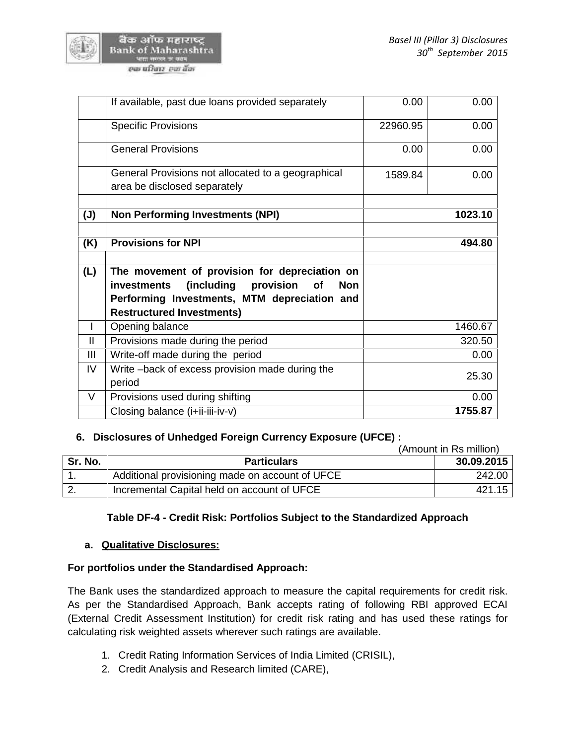

|                | If available, past due loans provided separately           | 0.00     | 0.00    |
|----------------|------------------------------------------------------------|----------|---------|
|                | <b>Specific Provisions</b>                                 | 22960.95 | 0.00    |
|                | <b>General Provisions</b>                                  | 0.00     | 0.00    |
|                | General Provisions not allocated to a geographical         | 1589.84  | 0.00    |
|                | area be disclosed separately                               |          |         |
|                |                                                            |          |         |
| $(\mathsf{U})$ | <b>Non Performing Investments (NPI)</b>                    |          | 1023.10 |
|                |                                                            |          |         |
| (K)            | <b>Provisions for NPI</b>                                  |          | 494.80  |
|                |                                                            |          |         |
| (L)            | The movement of provision for depreciation on              |          |         |
|                | (including<br>provision<br>investments<br>of<br><b>Non</b> |          |         |
|                | Performing Investments, MTM depreciation and               |          |         |
|                | <b>Restructured Investments)</b>                           |          |         |
|                | Opening balance                                            |          | 1460.67 |
| $\mathbf{I}$   | Provisions made during the period                          |          | 320.50  |
| Ш              | Write-off made during the period                           |          | 0.00    |
| IV             | Write-back of excess provision made during the<br>period   |          | 25.30   |
| $\vee$         | Provisions used during shifting                            |          | 0.00    |
|                | Closing balance (i+ii-iii-iv-v)                            |          | 1755.87 |
|                |                                                            |          |         |

# **6. Disclosures of Unhedged Foreign Currency Exposure (UFCE) :**

|         | (Amount in Rs million)                          |            |
|---------|-------------------------------------------------|------------|
| Sr. No. | <b>Particulars</b>                              | 30.09.2015 |
|         | Additional provisioning made on account of UFCE | 242.00     |
|         | Incremental Capital held on account of UFCE     | 421.15     |

# **Table DF-4 - Credit Risk: Portfolios Subject to the Standardized Approach**

#### **a. Qualitative Disclosures:**

#### **For portfolios under the Standardised Approach:**

The Bank uses the standardized approach to measure the capital requirements for credit risk. As per the Standardised Approach, Bank accepts rating of following RBI approved ECAI (External Credit Assessment Institution) for credit risk rating and has used these ratings for calculating risk weighted assets wherever such ratings are available.

- 1. Credit Rating Information Services of India Limited (CRISIL),
- 2. Credit Analysis and Research limited (CARE),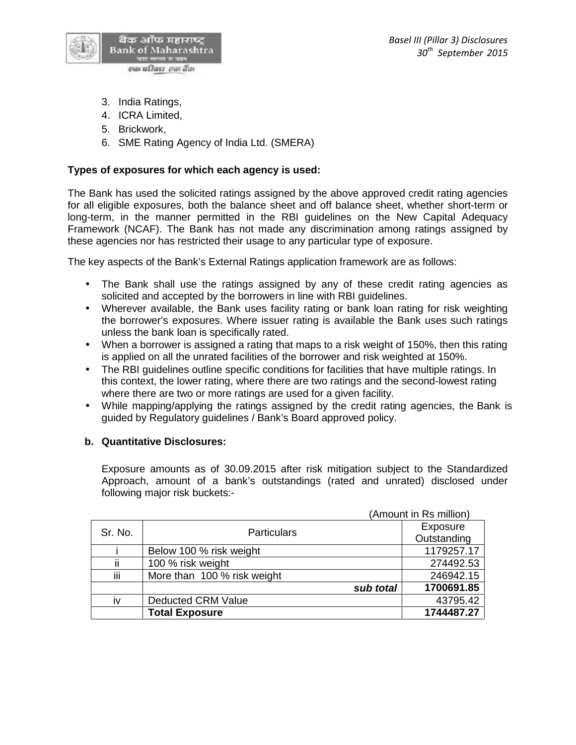

- 3. India Ratings,
- 4. ICRA Limited,
- 5. Brickwork,
- 6. SME Rating Agency of India Ltd. (SMERA)

# **Types of exposures for which each agency is used:**

The Bank has used the solicited ratings assigned by the above approved credit rating agencies for all eligible exposures, both the balance sheet and off balance sheet, whether short-term or long-term, in the manner permitted in the RBI guidelines on the New Capital Adequacy Framework (NCAF). The Bank has not made any discrimination among ratings assigned by these agencies nor has restricted their usage to any particular type of exposure.

The key aspects of the Bank's External Ratings application framework are as follows:

- The Bank shall use the ratings assigned by any of these credit rating agencies as solicited and accepted by the borrowers in line with RBI guidelines.
- Wherever available, the Bank uses facility rating or bank loan rating for risk weighting the borrower's exposures. Where issuer rating is available the Bank uses such ratings unless the bank loan is specifically rated.
- When a borrower is assigned a rating that maps to a risk weight of 150%, then this rating is applied on all the unrated facilities of the borrower and risk weighted at 150%.
- The RBI guidelines outline specific conditions for facilities that have multiple ratings. In this context, the lower rating, where there are two ratings and the second-lowest rating where there are two or more ratings are used for a given facility.
- While mapping/applying the ratings assigned by the credit rating agencies, the Bank is guided by Regulatory guidelines / Bank's Board approved policy.

# **b. Quantitative Disclosures:**

Exposure amounts as of 30.09.2015 after risk mitigation subject to the Standardized Approach, amount of a bank's outstandings (rated and unrated) disclosed under following major risk buckets:-

|         |                             | (Amount in Rs million) |
|---------|-----------------------------|------------------------|
| Sr. No. | <b>Particulars</b>          | Exposure               |
|         |                             | Outstanding            |
|         | Below 100 % risk weight     | 1179257.17             |
| ii      | 100 % risk weight           | 274492.53              |
| iίi     | More than 100 % risk weight | 246942.15              |
|         | sub total                   | 1700691.85             |
| iv      | <b>Deducted CRM Value</b>   | 43795.42               |
|         | <b>Total Exposure</b>       | 1744487.27             |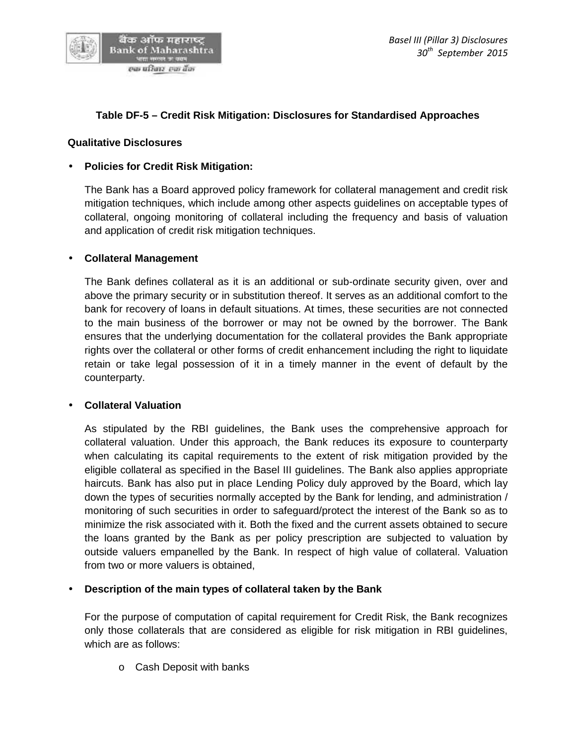

# **Table DF-5 – Credit Risk Mitigation: Disclosures for Standardised Approaches**

#### **Qualitative Disclosures**

#### **Policies for Credit Risk Mitigation:**

The Bank has a Board approved policy framework for collateral management and credit risk mitigation techniques, which include among other aspects guidelines on acceptable types of collateral, ongoing monitoring of collateral including the frequency and basis of valuation and application of credit risk mitigation techniques.

#### **Collateral Management**

The Bank defines collateral as it is an additional or sub-ordinate security given, over and above the primary security or in substitution thereof. It serves as an additional comfort to the bank for recovery of loans in default situations. At times, these securities are not connected to the main business of the borrower or may not be owned by the borrower. The Bank ensures that the underlying documentation for the collateral provides the Bank appropriate rights over the collateral or other forms of credit enhancement including the right to liquidate retain or take legal possession of it in a timely manner in the event of default by the counterparty.

#### **Collateral Valuation**

As stipulated by the RBI guidelines, the Bank uses the comprehensive approach for collateral valuation. Under this approach, the Bank reduces its exposure to counterparty when calculating its capital requirements to the extent of risk mitigation provided by the eligible collateral as specified in the Basel III guidelines. The Bank also applies appropriate haircuts. Bank has also put in place Lending Policy duly approved by the Board, which lay down the types of securities normally accepted by the Bank for lending, and administration / monitoring of such securities in order to safeguard/protect the interest of the Bank so as to minimize the risk associated with it. Both the fixed and the current assets obtained to secure the loans granted by the Bank as per policy prescription are subjected to valuation by outside valuers empanelled by the Bank. In respect of high value of collateral. Valuation from two or more valuers is obtained,

# **Description of the main types of collateral taken by the Bank**

For the purpose of computation of capital requirement for Credit Risk, the Bank recognizes only those collaterals that are considered as eligible for risk mitigation in RBI guidelines, which are as follows:

o Cash Deposit with banks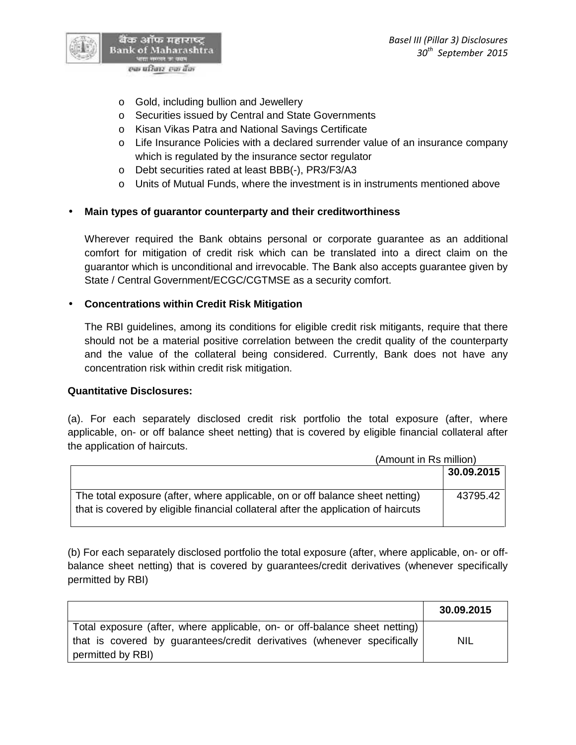

- o Gold, including bullion and Jewellery
- o Securities issued by Central and State Governments
- o Kisan Vikas Patra and National Savings Certificate
- o Life Insurance Policies with a declared surrender value of an insurance company which is regulated by the insurance sector regulator
- o Debt securities rated at least BBB(-), PR3/F3/A3
- $\circ$  Units of Mutual Funds, where the investment is in instruments mentioned above

# **Main types of guarantor counterparty and their creditworthiness**

Wherever required the Bank obtains personal or corporate guarantee as an additional comfort for mitigation of credit risk which can be translated into a direct claim on the guarantor which is unconditional and irrevocable. The Bank also accepts guarantee given by State / Central Government/ECGC/CGTMSE as a security comfort.

# **Concentrations within Credit Risk Mitigation**

The RBI guidelines, among its conditions for eligible credit risk mitigants, require that there should not be a material positive correlation between the credit quality of the counterparty and the value of the collateral being considered. Currently, Bank does not have any concentration risk within credit risk mitigation.

#### **Quantitative Disclosures:**

(a). For each separately disclosed credit risk portfolio the total exposure (after, where applicable, on- or off balance sheet netting) that is covered by eligible financial collateral after the application of haircuts.

|                                                                                    | (Amount in Rs million) |  |
|------------------------------------------------------------------------------------|------------------------|--|
|                                                                                    | 30.09.2015             |  |
| The total exposure (after, where applicable, on or off balance sheet netting)      | 43795.42               |  |
| that is covered by eligible financial collateral after the application of haircuts |                        |  |

(b) For each separately disclosed portfolio the total exposure (after, where applicable, on- or off balance sheet netting) that is covered by guarantees/credit derivatives (whenever specifically permitted by RBI)

|                                                                                                                                                                            | 30.09.2015 |
|----------------------------------------------------------------------------------------------------------------------------------------------------------------------------|------------|
| Total exposure (after, where applicable, on- or off-balance sheet netting)<br>that is covered by guarantees/credit derivatives (whenever specifically<br>permitted by RBI) | <b>NIL</b> |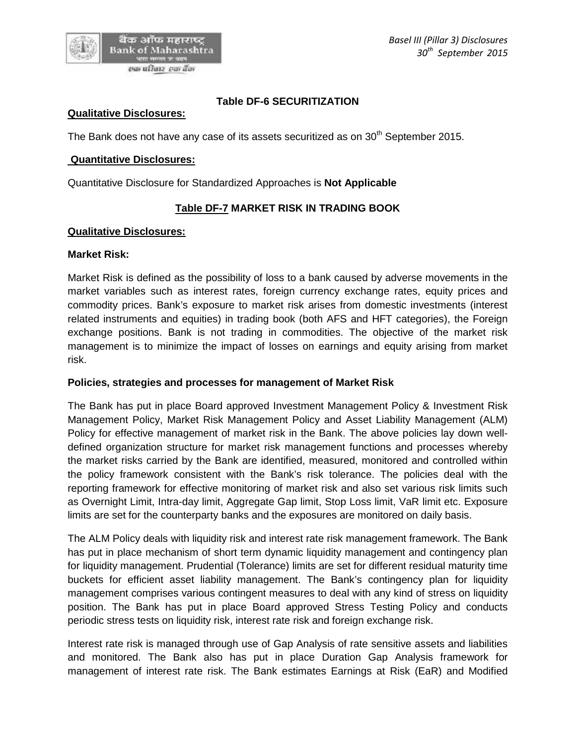# **Table DF-6 SECURITIZATION**

#### **Qualitative Disclosures:**

The Bank does not have any case of its assets securitized as on  $30<sup>th</sup>$  September 2015.

#### **Quantitative Disclosures:**

Quantitative Disclosure for Standardized Approaches is **Not Applicable**

# **Table DF-7 MARKET RISK IN TRADING BOOK**

#### **Qualitative Disclosures:**

#### **Market Risk:**

Market Risk is defined as the possibility of loss to a bank caused by adverse movements in the market variables such as interest rates, foreign currency exchange rates, equity prices and commodity prices. Bank's exposure to market risk arises from domestic investments (interest related instruments and equities) in trading book (both AFS and HFT categories), the Foreign exchange positions. Bank is not trading in commodities. The objective of the market risk management is to minimize the impact of losses on earnings and equity arising from market risk.

#### **Policies, strategies and processes for management of Market Risk**

The Bank has put in place Board approved Investment Management Policy & Investment Risk Management Policy, Market Risk Management Policy and Asset Liability Management (ALM) Policy for effective management of market risk in the Bank. The above policies lay down well defined organization structure for market risk management functions and processes whereby the market risks carried by the Bank are identified, measured, monitored and controlled within the policy framework consistent with the Bank's risk tolerance. The policies deal with the reporting framework for effective monitoring of market risk and also set various risk limits such as Overnight Limit, Intra-day limit, Aggregate Gap limit, Stop Loss limit, VaR limit etc. Exposure limits are set for the counterparty banks and the exposures are monitored on daily basis.

The ALM Policy deals with liquidity risk and interest rate risk management framework. The Bank has put in place mechanism of short term dynamic liquidity management and contingency plan for liquidity management. Prudential (Tolerance) limits are set for different residual maturity time buckets for efficient asset liability management. The Bank's contingency plan for liquidity management comprises various contingent measures to deal with any kind of stress on liquidity position. The Bank has put in place Board approved Stress Testing Policy and conducts periodic stress tests on liquidity risk, interest rate risk and foreign exchange risk.

Interest rate risk is managed through use of Gap Analysis of rate sensitive assets and liabilities and monitored. The Bank also has put in place Duration Gap Analysis framework for management of interest rate risk. The Bank estimates Earnings at Risk (EaR) and Modified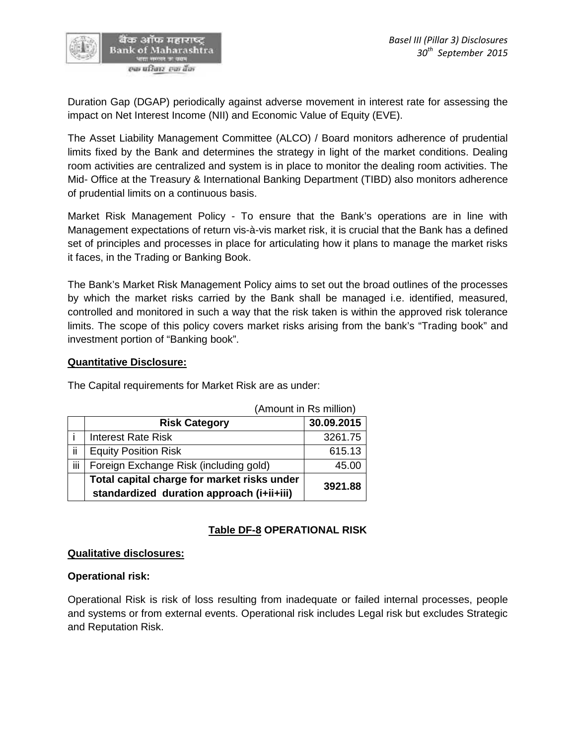

Duration Gap (DGAP) periodically against adverse movement in interest rate for assessing the impact on Net Interest Income (NII) and Economic Value of Equity (EVE).

The Asset Liability Management Committee (ALCO) / Board monitors adherence of prudential limits fixed by the Bank and determines the strategy in light of the market conditions. Dealing room activities are centralized and system is in place to monitor the dealing room activities. The Mid- Office at the Treasury & International Banking Department (TIBD) also monitors adherence of prudential limits on a continuous basis.

Market Risk Management Policy - To ensure that the Bank's operations are in line with Management expectations of return vis-à-vis market risk, it is crucial that the Bank has a defined set of principles and processes in place for articulating how it plans to manage the market risks it faces, in the Trading or Banking Book.

The Bank's Market Risk Management Policy aims to set out the broad outlines of the processes by which the market risks carried by the Bank shall be managed i.e. identified, measured, controlled and monitored in such a way that the risk taken is within the approved risk tolerance limits. The scope of this policy covers market risks arising from the bank's "Trading book" and investment portion of "Banking book".

# **Quantitative Disclosure:**

The Capital requirements for Market Risk are as under:

|     |                                                                                          | $\frac{1}{2}$ |
|-----|------------------------------------------------------------------------------------------|---------------|
|     | <b>Risk Category</b>                                                                     | 30.09.2015    |
|     | <b>Interest Rate Risk</b>                                                                | 3261.75       |
| ii  | <b>Equity Position Risk</b>                                                              | 615.13        |
| iij | Foreign Exchange Risk (including gold)                                                   | 45.00         |
|     | Total capital charge for market risks under<br>standardized duration approach (i+ii+iii) | 3921.88       |

(Amount in Rs million)

# **Table DF-8 OPERATIONAL RISK**

#### **Qualitative disclosures:**

# **Operational risk:**

Operational Risk is risk of loss resulting from inadequate or failed internal processes, people and systems or from external events. Operational risk includes Legal risk but excludes Strategic and Reputation Risk.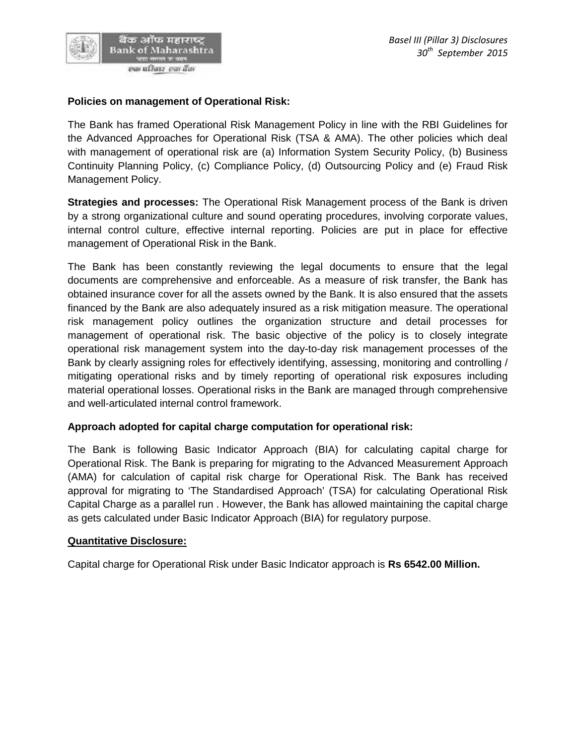

# **Policies on management of Operational Risk:**

The Bank has framed Operational Risk Management Policy in line with the RBI Guidelines for the Advanced Approaches for Operational Risk (TSA & AMA). The other policies which deal with management of operational risk are (a) Information System Security Policy, (b) Business Continuity Planning Policy, (c) Compliance Policy, (d) Outsourcing Policy and (e) Fraud Risk Management Policy.

**Strategies and processes:** The Operational Risk Management process of the Bank is driven by a strong organizational culture and sound operating procedures, involving corporate values, internal control culture, effective internal reporting. Policies are put in place for effective management of Operational Risk in the Bank.

The Bank has been constantly reviewing the legal documents to ensure that the legal documents are comprehensive and enforceable. As a measure of risk transfer, the Bank has obtained insurance cover for all the assets owned by the Bank. It is also ensured that the assets financed by the Bank are also adequately insured as a risk mitigation measure. The operational risk management policy outlines the organization structure and detail processes for management of operational risk. The basic objective of the policy is to closely integrate operational risk management system into the day-to-day risk management processes of the Bank by clearly assigning roles for effectively identifying, assessing, monitoring and controlling / mitigating operational risks and by timely reporting of operational risk exposures including material operational losses. Operational risks in the Bank are managed through comprehensive and well-articulated internal control framework.

# **Approach adopted for capital charge computation for operational risk:**

The Bank is following Basic Indicator Approach (BIA) for calculating capital charge for Operational Risk. The Bank is preparing for migrating to the Advanced Measurement Approach (AMA) for calculation of capital risk charge for Operational Risk. The Bank has received approval for migrating to 'The Standardised Approach' (TSA) for calculating Operational Risk Capital Charge as a parallel run . However, the Bank has allowed maintaining the capital charge as gets calculated under Basic Indicator Approach (BIA) for regulatory purpose.

# **Quantitative Disclosure:**

Capital charge for Operational Risk under Basic Indicator approach is **Rs 6542.00 Million.**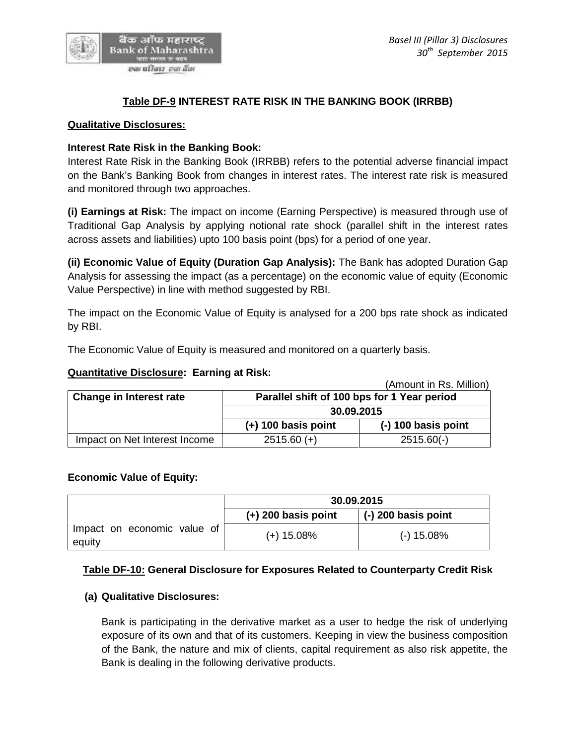

# **Table DF-9 INTEREST RATE RISK IN THE BANKING BOOK (IRRBB)**

#### **Qualitative Disclosures:**

#### **Interest Rate Risk in the Banking Book:**

Interest Rate Risk in the Banking Book (IRRBB) refers to the potential adverse financial impact on the Bank's Banking Book from changes in interest rates. The interest rate risk is measured and monitored through two approaches.

**(i) Earnings at Risk:** The impact on income (Earning Perspective) is measured through use of Traditional Gap Analysis by applying notional rate shock (parallel shift in the interest rates across assets and liabilities) upto 100 basis point (bps) for a period of one year.

**(ii) Economic Value of Equity (Duration Gap Analysis):** The Bank has adopted Duration Gap Analysis for assessing the impact (as a percentage) on the economic value of equity (Economic Value Perspective) in line with method suggested by RBI.

The impact on the Economic Value of Equity is analysed for a 200 bps rate shock as indicated by RBI.

The Economic Value of Equity is measured and monitored on a quarterly basis.

#### **Quantitative Disclosure: Earning at Risk:**

|                                |                                                           | (Amount in Rs. Million) |
|--------------------------------|-----------------------------------------------------------|-------------------------|
| <b>Change in Interest rate</b> | Parallel shift of 100 bps for 1 Year period<br>30.09.2015 |                         |
|                                |                                                           |                         |
|                                | $(+)$ 100 basis point                                     | $(-)$ 100 basis point   |
| Impact on Net Interest Income  | $2515.60 (+)$                                             | $2515.60(-)$            |

#### **Economic Value of Equity:**

|                                       | 30.09.2015            |                       |
|---------------------------------------|-----------------------|-----------------------|
|                                       | $(+)$ 200 basis point | $(-)$ 200 basis point |
| Impact on economic value of<br>equity | $(+)$ 15.08%          | $(-)$ 15.08%          |

# **Table DF-10: General Disclosure for Exposures Related to Counterparty Credit Risk**

#### **(a) Qualitative Disclosures:**

Bank is participating in the derivative market as a user to hedge the risk of underlying exposure of its own and that of its customers. Keeping in view the business composition of the Bank, the nature and mix of clients, capital requirement as also risk appetite, the Bank is dealing in the following derivative products.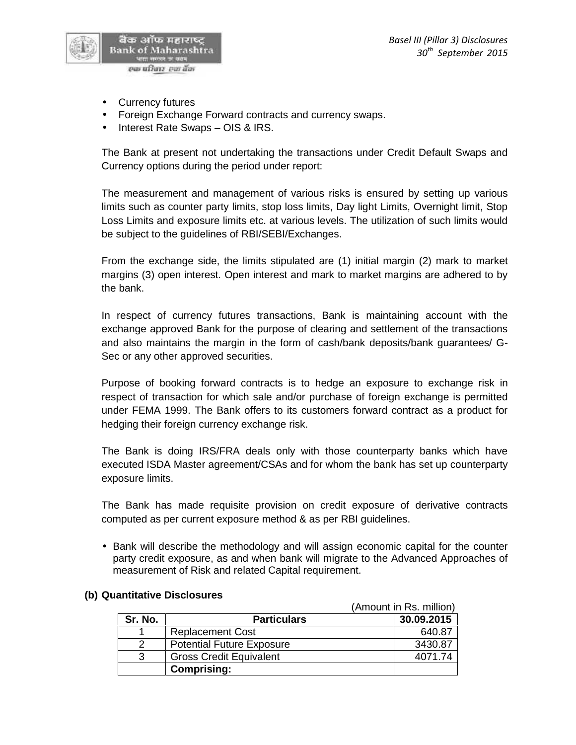

- Currency futures
- Foreign Exchange Forward contracts and currency swaps.
- Interest Rate Swaps OIS & IRS.

The Bank at present not undertaking the transactions under Credit Default Swaps and Currency options during the period under report:

The measurement and management of various risks is ensured by setting up various limits such as counter party limits, stop loss limits, Day light Limits, Overnight limit, Stop Loss Limits and exposure limits etc. at various levels. The utilization of such limits would be subject to the guidelines of RBI/SEBI/Exchanges.

From the exchange side, the limits stipulated are (1) initial margin (2) mark to market margins (3) open interest. Open interest and mark to market margins are adhered to by the bank.

In respect of currency futures transactions, Bank is maintaining account with the exchange approved Bank for the purpose of clearing and settlement of the transactions and also maintains the margin in the form of cash/bank deposits/bank guarantees/ G- Sec or any other approved securities.

Purpose of booking forward contracts is to hedge an exposure to exchange risk in respect of transaction for which sale and/or purchase of foreign exchange is permitted under FEMA 1999. The Bank offers to its customers forward contract as a product for hedging their foreign currency exchange risk.

The Bank is doing IRS/FRA deals only with those counterparty banks which have executed ISDA Master agreement/CSAs and for whom the bank has set up counterparty exposure limits.

The Bank has made requisite provision on credit exposure of derivative contracts computed as per current exposure method & as per RBI guidelines.

• Bank will describe the methodology and will assign economic capital for the counter party credit exposure, as and when bank will migrate to the Advanced Approaches of measurement of Risk and related Capital requirement.

|         | (Amount in Rs. million)          |            |
|---------|----------------------------------|------------|
| Sr. No. | <b>Particulars</b>               | 30.09.2015 |
|         | <b>Replacement Cost</b>          | 640.87     |
|         | <b>Potential Future Exposure</b> | 3430.87    |
| 3       | <b>Gross Credit Equivalent</b>   | 4071.74    |
|         | <b>Comprising:</b>               |            |

# **(b) Quantitative Disclosures**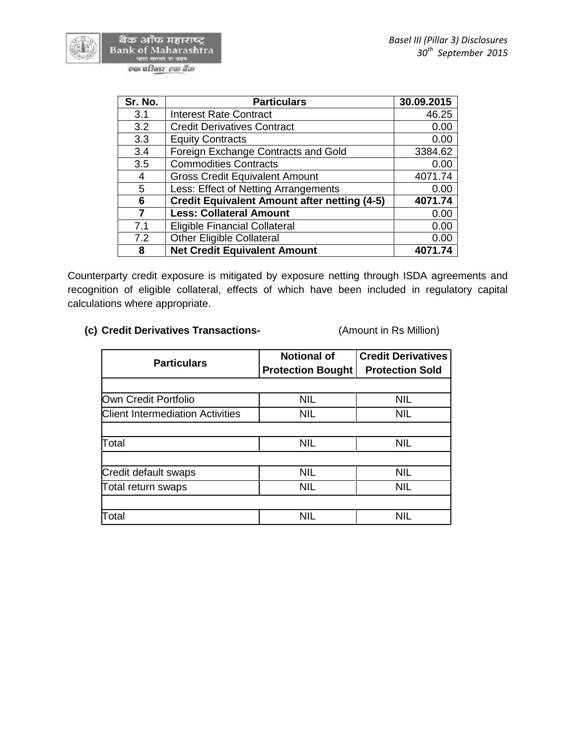बैंक ऑफ महाराष्ट्र Bank of Maharashtra



| Sr. No. | <b>Particulars</b>                                  | 30.09.2015 |
|---------|-----------------------------------------------------|------------|
| 3.1     | <b>Interest Rate Contract</b>                       | 46.25      |
| 3.2     | <b>Credit Derivatives Contract</b>                  | 0.00       |
| 3.3     | <b>Equity Contracts</b>                             | 0.00       |
| 3.4     | Foreign Exchange Contracts and Gold                 | 3384.62    |
| 3.5     | <b>Commodities Contracts</b>                        | 0.00       |
| 4       | <b>Gross Credit Equivalent Amount</b>               | 4071.74    |
| 5       | Less: Effect of Netting Arrangements                | 0.00       |
| 6       | <b>Credit Equivalent Amount after netting (4-5)</b> | 4071.74    |
| 7       | <b>Less: Collateral Amount</b>                      | 0.00       |
| 7.1     | <b>Eligible Financial Collateral</b>                | 0.00       |
| 7.2     | <b>Other Eligible Collateral</b>                    | 0.00       |
| 8       | <b>Net Credit Equivalent Amount</b>                 | 4071.74    |

Counterparty credit exposure is mitigated by exposure netting through ISDA agreements and recognition of eligible collateral, effects of which have been included in regulatory capital calculations where appropriate.

# **(c) Credit Derivatives Transactions-** (Amount in Rs Million)

| <b>Particulars</b>                      | <b>Notional of</b><br><b>Protection Bought</b> | <b>Credit Derivatives</b><br><b>Protection Sold</b> |
|-----------------------------------------|------------------------------------------------|-----------------------------------------------------|
|                                         |                                                |                                                     |
| Own Credit Portfolio                    | <b>NIL</b>                                     | <b>NIL</b>                                          |
| <b>Client Intermediation Activities</b> | <b>NIL</b>                                     | <b>NIL</b>                                          |
|                                         |                                                |                                                     |
| Total                                   | <b>NIL</b>                                     | <b>NIL</b>                                          |
|                                         |                                                |                                                     |
| Credit default swaps                    | <b>NIL</b>                                     | <b>NIL</b>                                          |
| Total return swaps                      | <b>NIL</b>                                     | <b>NIL</b>                                          |
|                                         |                                                |                                                     |
| Total                                   | NIL                                            | <b>NIL</b>                                          |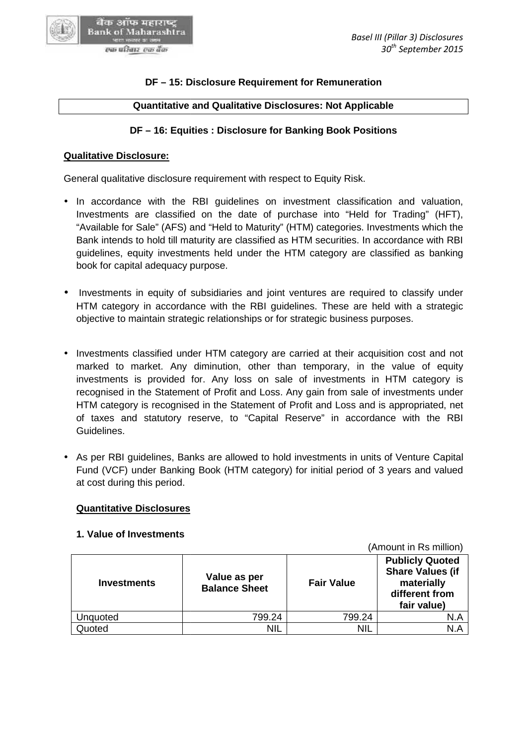#### **DF – 15: Disclosure Requirement for Remuneration**

# **Quantitative and Qualitative Disclosures: Not Applicable**

# **DF – 16: Equities : Disclosure for Banking Book Positions DF – 15: Disclosure Requirement for Remuneration<br>|antitative and Qualitative Disclosures: Not Applical<br>|- 16: Equities : Disclosure for Banking Book Positi**

#### **Qualitative Disclosure:**

बैंक ऑफ महाराष्ट्र **Bank of Maharashtra** 

General qualitative disclosure requirement with respect to Equity Risk.

- In accordance with the RBI guidelines on investment classification and valuation, Investments are classified on the date of purchase into "Held for Trading" (HFT), "Available for Sale" (AFS) and "Held to Maturity" (HTM) categories. Investments which the Bank intends to hold till maturity are classified as HTM securities. In accordance with RBI guidelines, equity investments held under the HTM category are classified as banking book for capital adequacy purpose. In accordance with the RBI guidelines on investment classification and valuation, Investments are classified on the date of purchase into "Held for Trading" (HFT), "Available for Sale" (AFS) and "Held to Maturity" (HTM) ca
- Investments in equity of subsidiaries and joint ventures are required to classify under HTM category in accordance with the RBI guidelines. These are held with a strategic HTM category in accordance with the RBI guidelines. These are held with a st<br>objective to maintain strategic relationships or for strategic business purposes.
- Investments classified under HTM category are carried at their acquisition cost and not • Investments classified under HTM category are carried at their acquisition cost and not<br>marked to market. Any diminution, other than temporary, in the value of equity investments is provided for. Any loss on sale of investments in HTM category is recognised in the Statement of Profit and Loss. Any gain from sale of investments under HTM category is recognised in the Statement of Profit and Loss and is appropriated, net of taxes and statutory reserve, to "Capital Reserve" in accordance with the RBI Guidelines. investments is provided for. Any loss on sale of investments in HTM category<br>recognised in the Statement of Profit and Loss. Any gain from sale of investments uno<br>HTM category is recognised in the Statement of Profit and L In accordance with the RBI guidelines on<br>Investments are classified on the date of prostements<br>"Wailable for Sale" (AFS) and "Held to Maturity"<br>Bank intends to hold till maturity are classified a<br>guidelines, equity investm
- As per RBI guidelines, Banks are allowed to hold investments in units of Venture Capital Fund (VCF) under Banking Book (HTM category) for initial period of 3 years and valued<br>at cost during this period. at cost during this period.

#### **Quantitative Disclosures**

# **1. Value of Investments**

(Amount in Rs million) **Investments Value as per Balance Sheet Fair Value Publicly Quoted Share Values (if materially different from fair value)** Unquoted  $\begin{array}{|c|c|c|c|c|c|}\n\hline\n\text{Unquoted} & & \text{799.24} & \text{799.24}\n\hline\n\end{array}$ Quoted NIL NIL NIL NIL N.A NIL **per**<br> **per**<br> **per**<br> **Publicly Quoted**<br> **Share Values (if<br>
materially<br>
different from<br>
fair value)** 

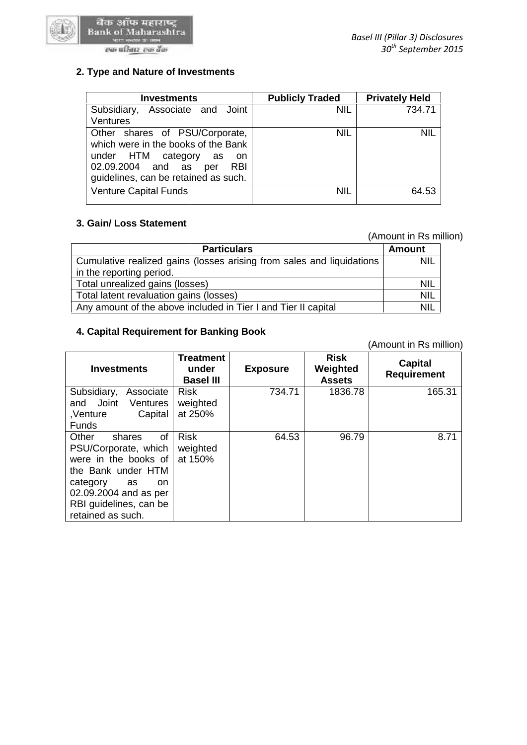

#### एक परिवार-एक बैंक

| <b>Investments</b>                                                                                                                                                                          | <b>Publicly Traded</b> | <b>Privately Held</b> |
|---------------------------------------------------------------------------------------------------------------------------------------------------------------------------------------------|------------------------|-----------------------|
| Associate and Joint<br>Subsidiary,<br><b>Ventures</b>                                                                                                                                       | <b>NIL</b>             | 734.71                |
| Other shares of PSU/Corporate,<br>which were in the books of the Bank<br>under HTM category<br>as<br>- on<br>02.09.2004 and as<br><b>RBI</b><br>per<br>guidelines, can be retained as such. | <b>NIL</b>             | <b>NIL</b>            |
| <b>Venture Capital Funds</b>                                                                                                                                                                | <b>NIL</b>             | 64.53                 |

# **3. Gain/ Loss Statement 3.**

(Amount in Rs million)

| (Amount in Rs million)                                                |            |  |
|-----------------------------------------------------------------------|------------|--|
| <b>Particulars</b>                                                    | Amount     |  |
| Cumulative realized gains (losses arising from sales and liquidations | NIL.       |  |
| in the reporting period.                                              |            |  |
| Total unrealized gains (losses)                                       | <b>NIL</b> |  |
| Total latent revaluation gains (losses)                               | <b>NIL</b> |  |
| Any amount of the above included in Tier I and Tier II capital        | <b>NIL</b> |  |

#### **4. Capital Requirement for Banking Book 4. Capital Requirement**

| Cumulative realized gains (losses arising from sales and liquidations<br>in the reporting period.                                                                                                  |                                               |                 | NIL                                      |                                      |
|----------------------------------------------------------------------------------------------------------------------------------------------------------------------------------------------------|-----------------------------------------------|-----------------|------------------------------------------|--------------------------------------|
| Total unrealized gains (losses)                                                                                                                                                                    |                                               |                 |                                          | <b>NIL</b>                           |
| Total latent revaluation gains (losses)                                                                                                                                                            |                                               |                 |                                          | <b>NIL</b>                           |
| Any amount of the above included in Tier I and Tier II capital                                                                                                                                     |                                               |                 |                                          | <b>NIL</b>                           |
| 4. Capital Requirement for Banking Book                                                                                                                                                            |                                               |                 |                                          | (Amount in Rs million)               |
| <b>Investments</b>                                                                                                                                                                                 | <b>Treatment</b><br>under<br><b>Basel III</b> | <b>Exposure</b> | <b>Risk</b><br>Weighted<br><b>Assets</b> | <b>Capital</b><br><b>Requirement</b> |
| Subsidiary,<br>Associate<br>Joint<br>and<br>Ventures<br>,Venture<br>Capital<br><b>Funds</b>                                                                                                        | <b>Risk</b><br>weighted<br>at 250%            | 734.71          | 1836.78                                  | 165.31                               |
| <b>of</b><br>Other<br>shares<br>PSU/Corporate, which<br>were in the books of<br>the Bank under HTM<br>category<br>as<br>on<br>02.09.2004 and as per<br>RBI guidelines, can be<br>retained as such. | <b>Risk</b><br>weighted<br>at 150%            | 64.53           | 96.79                                    | 8.71                                 |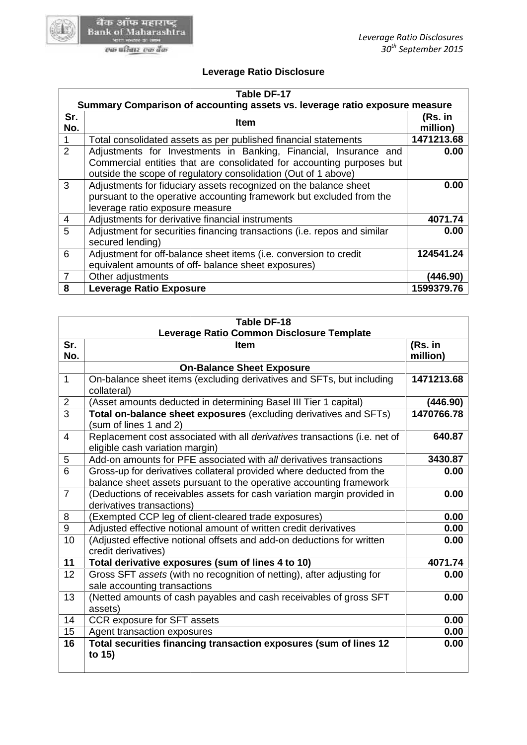

# **Leverage Ratio Disclosure**

|                | Leverage Ratio Disclosure                                                                                                                                                                                   |                     |
|----------------|-------------------------------------------------------------------------------------------------------------------------------------------------------------------------------------------------------------|---------------------|
|                | Table DF-17                                                                                                                                                                                                 |                     |
|                | Summary Comparison of accounting assets vs. leverage ratio exposure measure                                                                                                                                 |                     |
| Sr.<br>No.     | <b>Item</b>                                                                                                                                                                                                 | (Rs. in<br>million) |
|                | Total consolidated assets as per published financial statements                                                                                                                                             | 1471213.68          |
| $\overline{2}$ | Adjustments for Investments in Banking, Financial, Insurance and<br>Commercial entities that are consolidated for accounting purposes but<br>outside the scope of regulatory consolidation (Out of 1 above) | 0.00                |
| 3              | Adjustments for fiduciary assets recognized on the balance sheet<br>pursuant to the operative accounting framework but excluded from the<br>leverage ratio exposure measure                                 | 0.00                |
| 4              | Adjustments for derivative financial instruments                                                                                                                                                            | 4071.74             |
| 5              | Adjustment for securities financing transactions (i.e. repos and similar<br>secured lending)                                                                                                                | 0.00                |
| 6              | Adjustment for off-balance sheet items (i.e. conversion to credit<br>equivalent amounts of off- balance sheet exposures)                                                                                    | 124541.24           |
| 7              | Other adjustments                                                                                                                                                                                           | (446.90)            |
| 8              | <b>Leverage Ratio Exposure</b>                                                                                                                                                                              | 1599379.76          |

| Adjustment for off-balance sheet items (i.e. conversion to credit<br>6                                                          | 124541.24           |
|---------------------------------------------------------------------------------------------------------------------------------|---------------------|
| equivalent amounts of off- balance sheet exposures)                                                                             |                     |
| $\overline{7}$<br>Other adjustments                                                                                             | (446.90)            |
| 8<br>Leverage Ratio Exposure                                                                                                    | 1599379.76          |
|                                                                                                                                 |                     |
| Table DF-18                                                                                                                     |                     |
| Leverage Ratio Common Disclosure Template                                                                                       |                     |
| Sr.<br><b>Item</b><br>No.                                                                                                       | (Rs. in<br>million) |
| <b>On-Balance Sheet Exposure</b>                                                                                                |                     |
| $\mathbf{1}$<br>On-balance sheet items (excluding derivatives and SFTs, but including                                           | 1471213.68          |
| collateral)                                                                                                                     |                     |
| $\overline{2}$<br>(Asset amounts deducted in determining Basel III Tier 1 capital)                                              | (446.90)            |
| $\overline{3}$<br>Total on-balance sheet exposures (excluding derivatives and SFTs)                                             | 1470766.78          |
| (sum of lines 1 and 2)                                                                                                          |                     |
| Replacement cost associated with all derivatives transactions (i.e. net of<br>$\overline{4}$<br>eligible cash variation margin) | 640.87              |
| Add-on amounts for PFE associated with all derivatives transactions<br>5                                                        | 3430.87             |
| 6<br>Gross-up for derivatives collateral provided where deducted from the                                                       | 0.00                |
| balance sheet assets pursuant to the operative accounting framework                                                             |                     |
| $\overline{7}$<br>(Deductions of receivables assets for cash variation margin provided in<br>derivatives transactions)          | 0.00                |
| (Exempted CCP leg of client-cleared trade exposures)<br>8                                                                       | 0.00                |
| Adjusted effective notional amount of written credit derivatives<br>9                                                           | 0.00                |
| 10<br>(Adjusted effective notional offsets and add-on deductions for written<br>credit derivatives)                             | 0.00                |
| 11<br>Total derivative exposures (sum of lines 4 to 10)                                                                         | 4071.74             |
| 12<br>Gross SFT assets (with no recognition of netting), after adjusting for                                                    | 0.00                |
| sale accounting transactions                                                                                                    |                     |
| (Netted amounts of cash payables and cash receivables of gross SFT<br>13                                                        | 0.00                |
| assets)                                                                                                                         |                     |
| 14<br>CCR exposure for SFT assets                                                                                               | 0.00                |
| 15<br>Agent transaction exposures                                                                                               | 0.00                |
| 16<br>Total securities financing transaction exposures (sum of lines 12<br>to 15)                                               | 0.00                |